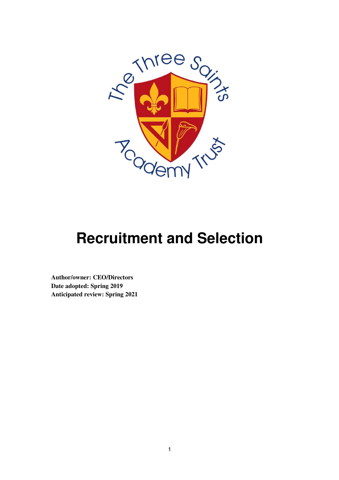

# **Recruitment and Selection**

**Author/owner: CEO/Directors Date adopted: Spring 2019 Anticipated review: Spring 2021**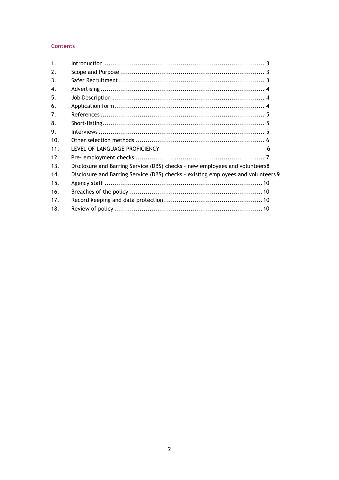# **Contents**

| 1 <sub>1</sub> |                                                                                   |  |
|----------------|-----------------------------------------------------------------------------------|--|
| 2.             |                                                                                   |  |
| 3.             |                                                                                   |  |
| 4.             |                                                                                   |  |
| 5.             |                                                                                   |  |
| 6.             |                                                                                   |  |
| 7.             |                                                                                   |  |
| 8.             |                                                                                   |  |
| 9.             |                                                                                   |  |
| 10.            |                                                                                   |  |
| 11.            | LEVEL OF LANGUAGE PROFICIENCY<br>6                                                |  |
| 12.            |                                                                                   |  |
| 13.            | Disclosure and Barring Service (DBS) checks - new employees and volunteers8       |  |
| 14.            | Disclosure and Barring Service (DBS) checks - existing employees and volunteers 9 |  |
| 15.            |                                                                                   |  |
| 16.            |                                                                                   |  |
| 17.            |                                                                                   |  |
| 18.            |                                                                                   |  |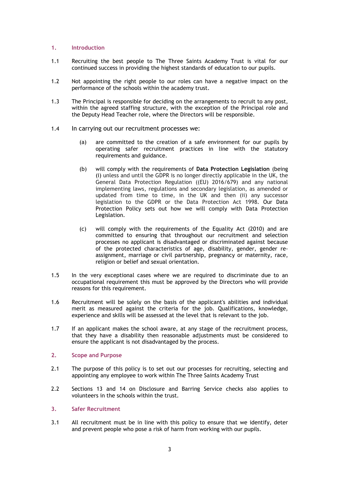#### 1. Introduction

- 1.1 Recruiting the best people to The Three Saints Academy Trust is vital for our continued success in providing the highest standards of education to our pupils.
- 1.2 Not appointing the right people to our roles can have a negative impact on the performance of the schools within the academy trust.
- 1.3 The Principal is responsible for deciding on the arrangements to recruit to any post, within the agreed staffing structure, with the exception of the Principal role and the Deputy Head Teacher role, where the Directors will be responsible.
- 1.4 In carrying out our recruitment processes we:
	- (a) are committed to the creation of a safe environment for our pupils by operating safer recruitment practices in line with the statutory requirements and guidance.
	- (b) will comply with the requirements of Data Protection Legislation (being (i) unless and until the GDPR is no longer directly applicable in the UK, the General Data Protection Regulation ((EU) 2016/679) and any national implementing laws, regulations and secondary legislation, as amended or updated from time to time, in the UK and then (ii) any successor legislation to the GDPR or the Data Protection Act 1998. Our Data Protection Policy sets out how we will comply with Data Protection Legislation.
	- (c) will comply with the requirements of the Equality Act (2010) and are committed to ensuring that throughout our recruitment and selection processes no applicant is disadvantaged or discriminated against because of the protected characteristics of age, disability, gender, gender reassignment, marriage or civil partnership, pregnancy or maternity, race, religion or belief and sexual orientation.
- 1.5 In the very exceptional cases where we are required to discriminate due to an occupational requirement this must be approved by the Directors who will provide reasons for this requirement.
- 1.6 Recruitment will be solely on the basis of the applicant's abilities and individual merit as measured against the criteria for the job. Qualifications, knowledge, experience and skills will be assessed at the level that is relevant to the job.
- 1.7 If an applicant makes the school aware, at any stage of the recruitment process, that they have a disability then reasonable adjustments must be considered to ensure the applicant is not disadvantaged by the process.

## 2. Scope and Purpose

- 2.1 The purpose of this policy is to set out our processes for recruiting, selecting and appointing any employee to work within The Three Saints Academy Trust
- 2.2 Sections 13 and 14 on Disclosure and Barring Service checks also applies to volunteers in the schools within the trust.

## 3. Safer Recruitment

3.1 All recruitment must be in line with this policy to ensure that we identify, deter and prevent people who pose a risk of harm from working with our pupils.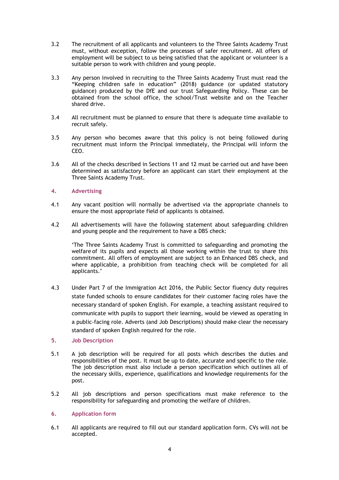- 3.2 The recruitment of all applicants and volunteers to the Three Saints Academy Trust must, without exception, follow the processes of safer recruitment. All offers of employment will be subject to us being satisfied that the applicant or volunteer is a suitable person to work with children and young people.
- 3.3 Any person involved in recruiting to the Three Saints Academy Trust must read the "Keeping children safe in education" (2018) guidance (or updated statutory guidance) produced by the DfE and our trust Safeguarding Policy. These can be obtained from the school office, the school/Trust website and on the Teacher shared drive.
- 3.4 All recruitment must be planned to ensure that there is adequate time available to recruit safely.
- 3.5 Any person who becomes aware that this policy is not being followed during recruitment must inform the Principal immediately, the Principal will inform the CEO.
- 3.6 All of the checks described in Sections 11 and 12 must be carried out and have been determined as satisfactory before an applicant can start their employment at the Three Saints Academy Trust.

## 4. Advertising

- 4.1 Any vacant position will normally be advertised via the appropriate channels to ensure the most appropriate field of applicants is obtained.
- 4.2 All advertisements will have the following statement about safeguarding children and young people and the requirement to have a DBS check:

'The Three Saints Academy Trust is committed to safeguarding and promoting the welfare of its pupils and expects all those working within the trust to share this commitment. All offers of employment are subject to an Enhanced DBS check, and where applicable, a prohibition from teaching check will be completed for all applicants.'

4.3 Under Part 7 of the Immigration Act 2016, the Public Sector fluency duty requires state funded schools to ensure candidates for their customer facing roles have the necessary standard of spoken English. For example, a teaching assistant required to communicate with pupils to support their learning, would be viewed as operating in a public-facing role. Adverts (and Job Descriptions) should make clear the necessary standard of spoken English required for the role.

# 5. Job Description

- 5.1 A job description will be required for all posts which describes the duties and responsibilities of the post. It must be up to date, accurate and specific to the role. The job description must also include a person specification which outlines all of the necessary skills, experience, qualifications and knowledge requirements for the post.
- 5.2 All job descriptions and person specifications must make reference to the responsibility for safeguarding and promoting the welfare of children.

#### 6. Application form

6.1 All applicants are required to fill out our standard application form. CVs will not be accepted.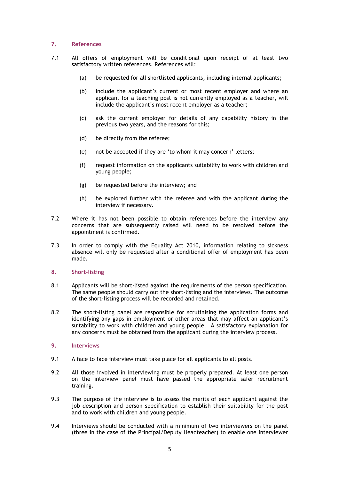## 7. References

- 7.1 All offers of employment will be conditional upon receipt of at least two satisfactory written references. References will:
	- (a) be requested for all shortlisted applicants, including internal applicants;
	- (b) include the applicant's current or most recent employer and where an applicant for a teaching post is not currently employed as a teacher, will include the applicant's most recent employer as a teacher;
	- (c) ask the current employer for details of any capability history in the previous two years, and the reasons for this;
	- (d) be directly from the referee;
	- (e) not be accepted if they are 'to whom it may concern' letters;
	- (f) request information on the applicants suitability to work with children and young people;
	- (g) be requested before the interview; and
	- (h) be explored further with the referee and with the applicant during the interview if necessary.
- 7.2 Where it has not been possible to obtain references before the interview any concerns that are subsequently raised will need to be resolved before the appointment is confirmed.
- 7.3 In order to comply with the Equality Act 2010, information relating to sickness absence will only be requested after a conditional offer of employment has been made.
- 8. Short-listing
- 8.1 Applicants will be short-listed against the requirements of the person specification. The same people should carry out the short-listing and the interviews. The outcome of the short-listing process will be recorded and retained.
- 8.2 The short-listing panel are responsible for scrutinising the application forms and identifying any gaps in employment or other areas that may affect an applicant's suitability to work with children and young people. A satisfactory explanation for any concerns must be obtained from the applicant during the interview process.
- 9. Interviews
- 9.1 A face to face interview must take place for all applicants to all posts.
- 9.2 All those involved in interviewing must be properly prepared. At least one person on the interview panel must have passed the appropriate safer recruitment training.
- 9.3 The purpose of the interview is to assess the merits of each applicant against the job description and person specification to establish their suitability for the post and to work with children and young people.
- 9.4 Interviews should be conducted with a minimum of two interviewers on the panel (three in the case of the Principal/Deputy Headteacher) to enable one interviewer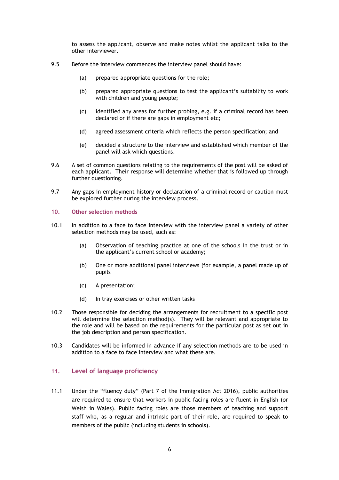to assess the applicant, observe and make notes whilst the applicant talks to the other interviewer.

- 9.5 Before the interview commences the interview panel should have:
	- (a) prepared appropriate questions for the role;
	- (b) prepared appropriate questions to test the applicant's suitability to work with children and young people;
	- (c) identified any areas for further probing, e.g. if a criminal record has been declared or if there are gaps in employment etc;
	- (d) agreed assessment criteria which reflects the person specification; and
	- (e) decided a structure to the interview and established which member of the panel will ask which questions.
- 9.6 A set of common questions relating to the requirements of the post will be asked of each applicant. Their response will determine whether that is followed up through further questioning.
- 9.7 Any gaps in employment history or declaration of a criminal record or caution must be explored further during the interview process.

## 10. Other selection methods

- 10.1 In addition to a face to face interview with the interview panel a variety of other selection methods may be used, such as:
	- (a) Observation of teaching practice at one of the schools in the trust or in the applicant's current school or academy;
	- (b) One or more additional panel interviews (for example, a panel made up of pupils
	- (c) A presentation;
	- (d) In tray exercises or other written tasks
- 10.2 Those responsible for deciding the arrangements for recruitment to a specific post will determine the selection method(s). They will be relevant and appropriate to the role and will be based on the requirements for the particular post as set out in the job description and person specification.
- 10.3 Candidates will be informed in advance if any selection methods are to be used in addition to a face to face interview and what these are.

# 11. Level of language proficiency

11.1 Under the "fluency duty" (Part 7 of the Immigration Act 2016), public authorities are required to ensure that workers in public facing roles are fluent in English (or Welsh in Wales). Public facing roles are those members of teaching and support staff who, as a regular and intrinsic part of their role, are required to speak to members of the public (including students in schools).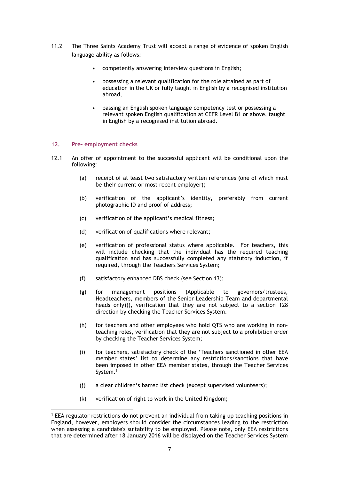- 11.2 The Three Saints Academy Trust will accept a range of evidence of spoken English language ability as follows:
	- competently answering interview questions in English;
	- possessing a relevant qualification for the role attained as part of education in the UK or fully taught in English by a recognised institution abroad,
	- passing an English spoken language competency test or possessing a relevant spoken English qualification at CEFR Level B1 or above, taught in English by a recognised institution abroad.

### 12. Pre- employment checks

- 12.1 An offer of appointment to the successful applicant will be conditional upon the following:
	- (a) receipt of at least two satisfactory written references (one of which must be their current or most recent employer);
	- (b) verification of the applicant's identity, preferably from current photographic ID and proof of address;
	- (c) verification of the applicant's medical fitness;
	- (d) verification of qualifications where relevant;
	- (e) verification of professional status where applicable. For teachers, this will include checking that the individual has the required teaching qualification and has successfully completed any statutory induction, if required, through the Teachers Services System;
	- (f) satisfactory enhanced DBS check (see Section 13);
	- (g) for management positions (Applicable to governors/trustees, Headteachers, members of the Senior Leadership Team and departmental heads only)(), verification that they are not subject to a section 128 direction by checking the Teacher Services System.
	- (h) for teachers and other employees who hold QTS who are working in nonteaching roles, verification that they are not subject to a prohibition order by checking the Teacher Services System;
	- (i) for teachers, satisfactory check of the 'Teachers sanctioned in other EEA member states' list to determine any restrictions/sanctions that have been imposed in other EEA member states, through the Teacher Services System.<sup>1</sup>
	- (j) a clear children's barred list check (except supervised volunteers);
	- (k) verification of right to work in the United Kingdom;

<sup>1</sup> EEA regulator restrictions do not prevent an individual from taking up teaching positions in England, however, employers should consider the circumstances leading to the restriction when assessing a candidate's suitability to be employed. Please note, only EEA restrictions that are determined after 18 January 2016 will be displayed on the Teacher Services System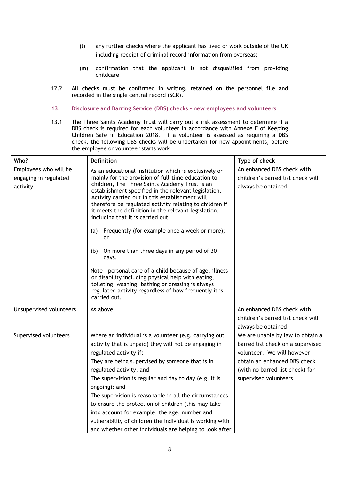- (l) any further checks where the applicant has lived or work outside of the UK including receipt of criminal record information from overseas;
- (m) confirmation that the applicant is not disqualified from providing childcare
- 12.2 All checks must be confirmed in writing, retained on the personnel file and recorded in the single central record (SCR).
- 13. Disclosure and Barring Service (DBS) checks new employees and volunteers
- 13.1 The Three Saints Academy Trust will carry out a risk assessment to determine if a DBS check is required for each volunteer in accordance with Annexe F of Keeping Children Safe in Education 2018. If a volunteer is assessed as requiring a DBS check, the following DBS checks will be undertaken for new appointments, before the employee or volunteer starts work

| Who?                                                       | <b>Definition</b>                                                                                                                                                                                                                                                                                                                                                                                                                                                                                                                                                                                                                                                                                                                                                                                            | Type of check                                                                                                                                                                                    |
|------------------------------------------------------------|--------------------------------------------------------------------------------------------------------------------------------------------------------------------------------------------------------------------------------------------------------------------------------------------------------------------------------------------------------------------------------------------------------------------------------------------------------------------------------------------------------------------------------------------------------------------------------------------------------------------------------------------------------------------------------------------------------------------------------------------------------------------------------------------------------------|--------------------------------------------------------------------------------------------------------------------------------------------------------------------------------------------------|
| Employees who will be<br>engaging in regulated<br>activity | As an educational institution which is exclusively or<br>mainly for the provision of full-time education to<br>children, The Three Saints Academy Trust is an<br>establishment specified in the relevant legislation.<br>Activity carried out in this establishment will<br>therefore be regulated activity relating to children if<br>it meets the definition in the relevant legislation,<br>including that it is carried out:<br>Frequently (for example once a week or more);<br>(a)<br>or<br>On more than three days in any period of 30<br>(b)<br>days.<br>Note - personal care of a child because of age, illness<br>or disability including physical help with eating,<br>toileting, washing, bathing or dressing is always<br>regulated activity regardless of how frequently it is<br>carried out. | An enhanced DBS check with<br>children's barred list check will<br>always be obtained                                                                                                            |
| Unsupervised volunteers                                    | As above                                                                                                                                                                                                                                                                                                                                                                                                                                                                                                                                                                                                                                                                                                                                                                                                     | An enhanced DBS check with<br>children's barred list check will<br>always be obtained                                                                                                            |
| Supervised volunteers                                      | Where an individual is a volunteer (e.g. carrying out<br>activity that is unpaid) they will not be engaging in<br>regulated activity if:<br>They are being supervised by someone that is in<br>regulated activity; and<br>The supervision is regular and day to day (e.g. it is<br>ongoing); and<br>The supervision is reasonable in all the circumstances<br>to ensure the protection of children (this may take<br>into account for example, the age, number and<br>vulnerability of children the individual is working with<br>and whether other individuals are helping to look after                                                                                                                                                                                                                    | We are unable by law to obtain a<br>barred list check on a supervised<br>volunteer. We will however<br>obtain an enhanced DBS check<br>(with no barred list check) for<br>supervised volunteers. |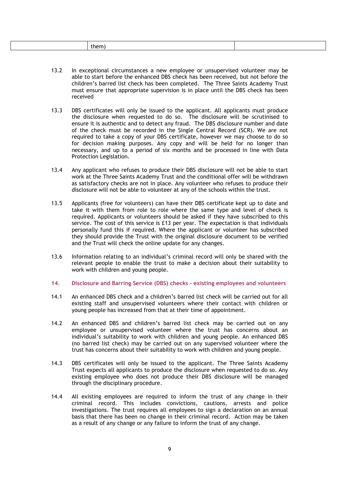|  | ----<br>-ne<br>___ |
|--|--------------------|
|--|--------------------|

- 13.2 In exceptional circumstances a new employee or unsupervised volunteer may be able to start before the enhanced DBS check has been received, but not before the children's barred list check has been completed. The Three Saints Academy Trust must ensure that appropriate supervision is in place until the DBS check has been received
- 13.3 DBS certificates will only be issued to the applicant. All applicants must produce the disclosure when requested to do so. The disclosure will be scrutinised to ensure it is authentic and to detect any fraud. The DBS disclosure number and date of the check must be recorded in the Single Central Record (SCR). We are not required to take a copy of your DBS certificate, however we may choose to do so for decision making purposes. Any copy and will be held for no longer than necessary, and up to a period of six months and be processed in line with Data Protection Legislation.
- 13.4 Any applicant who refuses to produce their DBS disclosure will not be able to start work at the Three Saints Academy Trust and the conditional offer will be withdrawn as satisfactory checks are not in place. Any volunteer who refuses to produce their disclosure will not be able to volunteer at any of the schools within the trust.
- 13.5 Applicants (free for volunteers) can have their DBS certificate kept up to date and take it with them from role to role where the same type and level of check is required. Applicants or volunteers should be asked if they have subscribed to this service. The cost of this service is £13 per year. The expectation is that individuals personally fund this if required. Where the applicant or volunteer has subscribed they should provide the Trust with the original disclosure document to be verified and the Trust will check the online update for any changes.
- 13.6 Information relating to an individual's criminal record will only be shared with the relevant people to enable the trust to make a decision about their suitability to work with children and young people.
- 14. Disclosure and Barring Service (DBS) checks existing employees and volunteers
- 14.1 An enhanced DBS check and a children's barred list check will be carried out for all existing staff and unsupervised volunteers where their contact with children or young people has increased from that at their time of appointment.
- 14.2 An enhanced DBS and children's barred list check may be carried out on any employee or unsupervised volunteer where the trust has concerns about an individual's suitability to work with children and young people. An enhanced DBS (no barred list check) may be carried out on any supervised volunteer where the trust has concerns about their suitability to work with children and young people.
- 14.3 DBS certificates will only be issued to the applicant. The Three Saints Academy Trust expects all applicants to produce the disclosure when requested to do so. Any existing employee who does not produce their DBS disclosure will be managed through the disciplinary procedure.
- 14.4 All existing employees are required to inform the trust of any change in their criminal record. This includes convictions, cautions, arrests and police investigations. The trust requires all employees to sign a declaration on an annual basis that there has been no change in their criminal record. Action may be taken as a result of any change or any failure to inform the trust of any change.